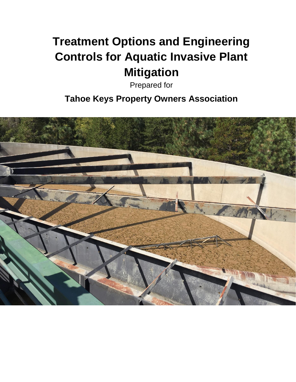# **Treatment Options and Engineering Controls for Aquatic Invasive Plant Mitigation**

Prepared for

**Tahoe Keys Property Owners Association**

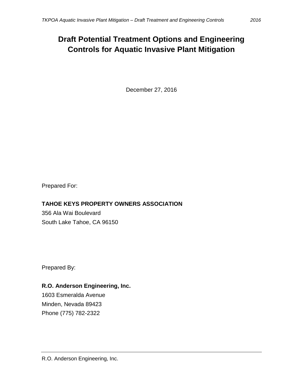## **Draft Potential Treatment Options and Engineering Controls for Aquatic Invasive Plant Mitigation**

December 27, 2016

Prepared For:

### **TAHOE KEYS PROPERTY OWNERS ASSOCIATION**

356 Ala Wai Boulevard South Lake Tahoe, CA 96150

Prepared By:

### **R.O. Anderson Engineering, Inc.**

1603 Esmeralda Avenue Minden, Nevada 89423 Phone (775) 782-2322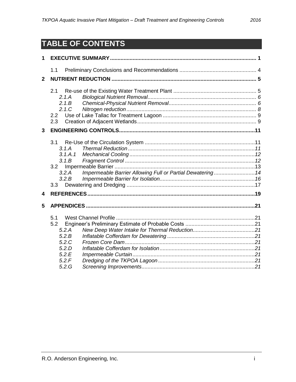# TABLE OF CONTENTS

| 1            |                                                                                                                               |  |  |  |  |  |  |  |  |  |  |
|--------------|-------------------------------------------------------------------------------------------------------------------------------|--|--|--|--|--|--|--|--|--|--|
|              | 1.1                                                                                                                           |  |  |  |  |  |  |  |  |  |  |
| $\mathbf{2}$ |                                                                                                                               |  |  |  |  |  |  |  |  |  |  |
|              | 2.1<br>2.1A<br>2.1B<br>2.1C<br>$2.2\phantom{0}$<br>2.3                                                                        |  |  |  |  |  |  |  |  |  |  |
| 3            |                                                                                                                               |  |  |  |  |  |  |  |  |  |  |
| 4            | 3.1<br>3.1.A<br>3.1.A.1<br>3.1B<br>3.2<br>Impermeable Barrier Allowing Full or Partial Dewatering 14<br>3.2.A<br>3.2.B<br>3.3 |  |  |  |  |  |  |  |  |  |  |
|              |                                                                                                                               |  |  |  |  |  |  |  |  |  |  |
| 5            | 5.1<br>5.2<br>5.2.A<br>5.2.B<br>5.2.C<br>5.2.D<br>5.2.E<br>5.2.F<br>5.2.G                                                     |  |  |  |  |  |  |  |  |  |  |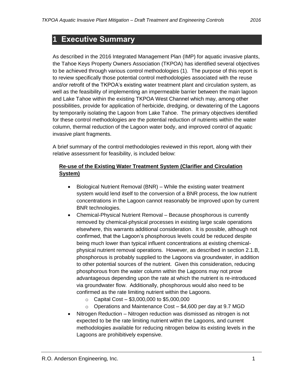### <span id="page-3-0"></span>**1 Executive Summary**

As described in the 2016 Integrated Management Plan (IMP) for aquatic invasive plants, the Tahoe Keys Property Owners Association (TKPOA) has identified several objectives to be achieved through various control methodologies (1). The purpose of this report is to review specifically those potential control methodologies associated with the reuse and/or retrofit of the TKPOA's existing water treatment plant and circulation system, as well as the feasibility of implementing an impermeable barrier between the main lagoon and Lake Tahoe within the existing TKPOA West Channel which may, among other possibilities, provide for application of herbicide, dredging, or dewatering of the Lagoons by temporarily isolating the Lagoon from Lake Tahoe. The primary objectives identified for these control methodologies are the potential reduction of nutrients within the water column, thermal reduction of the Lagoon water body, and improved control of aquatic invasive plant fragments.

A brief summary of the control methodologies reviewed in this report, along with their relative assessment for feasibility, is included below:

#### **Re-use of the Existing Water Treatment System (Clarifier and Circulation System)**

- Biological Nutrient Removal (BNR) While the existing water treatment system would lend itself to the conversion of a BNR process, the low nutrient concentrations in the Lagoon cannot reasonably be improved upon by current BNR technologies.
- Chemical-Physical Nutrient Removal Because phosphorous is currently removed by chemical-physical processes in existing large scale operations elsewhere, this warrants additional consideration. It is possible, although not confirmed, that the Lagoon's phosphorous levels could be reduced despite being much lower than typical influent concentrations at existing chemicalphysical nutrient removal operations. However, as described in section 2.1.B, phosphorous is probably supplied to the Lagoons via groundwater, in addition to other potential sources of the nutrient. Given this consideration, reducing phosphorous from the water column within the Lagoons may not prove advantageous depending upon the rate at which the nutrient is re-introduced via groundwater flow. Additionally, phosphorous would also need to be confirmed as the rate limiting nutrient within the Lagoons.
	- $\circ$  Capital Cost \$3,000,000 to \$5,000,000
	- $\circ$  Operations and Maintenance Cost \$4,600 per day at 9.7 MGD
- Nitrogen Reduction Nitrogen reduction was dismissed as nitrogen is not expected to be the rate limiting nutrient within the Lagoons, and current methodologies available for reducing nitrogen below its existing levels in the Lagoons are prohibitively expensive.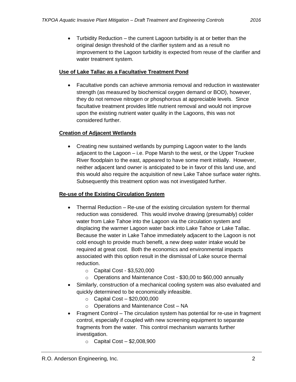• Turbidity Reduction – the current Lagoon turbidity is at or better than the original design threshold of the clarifier system and as a result no improvement to the Lagoon turbidity is expected from reuse of the clarifier and water treatment system.

#### **Use of Lake Tallac as a Facultative Treatment Pond**

 Facultative ponds can achieve ammonia removal and reduction in wastewater strength (as measured by biochemical oxygen demand or BOD), however, they do not remove nitrogen or phosphorous at appreciable levels. Since facultative treatment provides little nutrient removal and would not improve upon the existing nutrient water quality in the Lagoons, this was not considered further.

#### **Creation of Adjacent Wetlands**

 Creating new sustained wetlands by pumping Lagoon water to the lands adjacent to the Lagoon – i.e. Pope Marsh to the west, or the Upper Truckee River floodplain to the east, appeared to have some merit initially. However, neither adjacent land owner is anticipated to be in favor of this land use, and this would also require the acquisition of new Lake Tahoe surface water rights. Subsequently this treatment option was not investigated further.

#### **Re-use of the Existing Circulation System**

- Thermal Reduction Re-use of the existing circulation system for thermal reduction was considered. This would involve drawing (presumably) colder water from Lake Tahoe into the Lagoon via the circulation system and displacing the warmer Lagoon water back into Lake Tahoe or Lake Tallac. Because the water in Lake Tahoe immediately adjacent to the Lagoon is not cold enough to provide much benefit, a new deep water intake would be required at great cost. Both the economics and environmental impacts associated with this option result in the dismissal of Lake source thermal reduction.
	- o Capital Cost \$3,520,000
	- o Operations and Maintenance Cost \$30,00 to \$60,000 annually
- Similarly, construction of a mechanical cooling system was also evaluated and quickly determined to be economically infeasible.
	- $\circ$  Capital Cost \$20,000,000
	- o Operations and Maintenance Cost NA
- Fragment Control The circulation system has potential for re-use in fragment control, especially if coupled with new screening equipment to separate fragments from the water. This control mechanism warrants further investigation.
	- $\circ$  Capital Cost \$2,008,900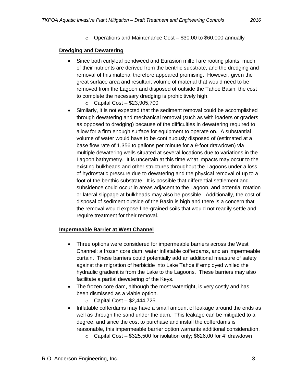$\circ$  Operations and Maintenance Cost – \$30,00 to \$60,000 annually

#### **Dredging and Dewatering**

- Since both curlyleaf pondweed and Eurasion milfoil are rooting plants, much of their nutrients are derived from the benthic substrate, and the dredging and removal of this material therefore appeared promising. However, given the great surface area and resultant volume of material that would need to be removed from the Lagoon and disposed of outside the Tahoe Basin, the cost to complete the necessary dredging is prohibitively high.
	- o Capital Cost \$23,905,700
- Similarly, it is not expected that the sediment removal could be accomplished through dewatering and mechanical removal (such as with loaders or graders as opposed to dredging) because of the difficulties in dewatering required to allow for a firm enough surface for equipment to operate on. A substantial volume of water would have to be continuously disposed of (estimated at a base flow rate of 1,356 to gallons per minute for a 9-foot drawdown) via multiple dewatering wells situated at several locations due to variations in the Lagoon bathymetry. It is uncertain at this time what impacts may occur to the existing bulkheads and other structures throughout the Lagoons under a loss of hydrostatic pressure due to dewatering and the physical removal of up to a foot of the benthic substrate. It is possible that differential settlement and subsidence could occur in areas adjacent to the Lagoon, and potential rotation or lateral slippage at bulkheads may also be possible. Additionally, the cost of disposal of sediment outside of the Basin is high and there is a concern that the removal would expose fine-grained soils that would not readily settle and require treatment for their removal.

#### **Impermeable Barrier at West Channel**

- Three options were considered for impermeable barriers across the West Channel: a frozen core dam, water inflatable cofferdams, and an impermeable curtain. These barriers could potentially add an additional measure of safety against the migration of herbicide into Lake Tahoe if employed whiled the hydraulic gradient is from the Lake to the Lagoons. These barriers may also facilitate a partial dewatering of the Keys.
- The frozen core dam, although the most watertight, is very costly and has been dismissed as a viable option.
	- $\circ$  Capital Cost \$2,444,725
- Inflatable cofferdams may have a small amount of leakage around the ends as well as through the sand under the dam. This leakage can be mitigated to a degree, and since the cost to purchase and install the cofferdams is reasonable, this impermeable barrier option warrants additional consideration.
	- o Capital Cost \$325,500 for isolation only; \$626,00 for 4' drawdown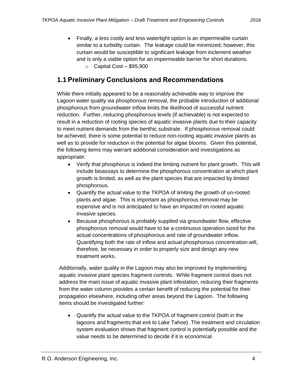Finally, a less costly and less watertight option is an impermeable curtain similar to a turbidity curtain. The leakage could be minimized; however, this curtain would be susceptible to significant leakage from inclement weather and is only a viable option for an impermeable barrier for short durations.  $\circ$  Capital Cost – \$95,900

### <span id="page-6-0"></span>**1.1 Preliminary Conclusions and Recommendations**

While there initially appeared to be a reasonably achievable way to improve the Lagoon water quality via phosphorous removal, the probable introduction of additional phosphorous from groundwater inflow limits the likelihood of successful nutrient reduction. Further, reducing phosphorous levels (if achievable) is not expected to result in a reduction of rooting species of aquatic invasive plants due to their capacity to meet nutrient demands from the benthic substrate. If phosphorous removal could be achieved, there is some potential to reduce non-rooting aquatic invasive plants as well as to provide for reduction in the potential for algae blooms. Given this potential, the following items may warrant additional consideration and investigations as appropriate:

- Verify that phosphorus is indeed the limiting nutrient for plant growth. This will include bioassays to determine the phosphorous concentration at which plant growth is limited, as well as the plant species that are impacted by limited phosphorous.
- Quantify the actual value to the TKPOA of limiting the growth of un-rooted plants and algae. This is important as phosphorous removal may be expensive and is not anticipated to have an impacted on rooted aquatic invasive species.
- Because phosphorous is probably supplied via groundwater flow, effective phosphorous removal would have to be a continuous operation sized for the actual concentrations of phosphorous and rate of groundwater inflow. Quantifying both the rate of inflow and actual phosphorous concentration will, therefore, be necessary in order to properly size and design any new treatment works.

Additionally, water quality in the Lagoon may also be improved by implementing aquatic invasive plant species fragment controls. While fragment control does not address the main issue of aquatic invasive plant infestation, reducing their fragments from the water column provides a certain benefit of reducing the potential for their propagation elsewhere, including other areas beyond the Lagoon. The following items should be investigated further:

 Quantify the actual value to the TKPOA of fragment control (both in the lagoons and fragments that exit to Lake Tahoe). The treatment and circulation system evaluation shows that fragment control is potentially possible and the value needs to be determined to decide if it is economical.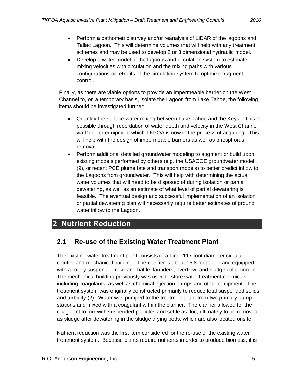- Perform a bathometric survey and/or reanalysis of LiDAR of the lagoons and Tallac Lagoon. This will determine volumes that will help with any treatment schemes and may be used to develop 2 or 3 dimensional hydraulic model.
- Develop a water model of the lagoons and circulation system to estimate mixing velocities with circulation and the mixing paths with various configurations or retrofits of the circulation system to optimize fragment control.

Finally, as there are viable options to provide an impermeable barrier on the West Channel to, on a temporary basis, isolate the Lagoon from Lake Tahoe, the following items should be investigated further:

- Quantify the surface water mixing between Lake Tahoe and the Keys This is possible through recordation of water depth and velocity in the West Channel via Doppler equipment which TKPOA is now in the process of acquiring. This will help with the design of impermeable barriers as well as phosphorus removal.
- Perform additional detailed groundwater modeling to augment or build upon existing models performed by others (e.g. the USACOE groundwater model (9), or recent PCE plume fate and transport models) to better predict inflow to the Lagoons from groundwater. This will help with determining the actual water volumes that will need to be disposed of during isolation or partial dewatering, as well as an estimate of what level of partial dewatering is feasible. The eventual design and successful implementation of an isolation or partial dewatering plan will necessarily require better estimates of ground water inflow to the Lagoon.

### <span id="page-7-0"></span>**2 Nutrient Reduction**

### <span id="page-7-1"></span>**2.1 Re-use of the Existing Water Treatment Plant**

The existing water treatment plant consists of a large 117-foot diameter circular clarifier and mechanical building. The clarifier is about 15.8 feet deep and equipped with a rotary suspended rake and baffle, launders, overflow, and sludge collection line. The mechanical building previously was used to store water treatment chemicals including coagulants, as well as chemical injection pumps and other equipment. The treatment system was originally constructed primarily to reduce total suspended solids and turbidity (2). Water was pumped to the treatment plant from two primary pump stations and mixed with a coagulant within the clarifier. The clarifier allowed for the coagulant to mix with suspended particles and settle as floc, ultimately to be removed as sludge after dewatering in the sludge drying beds, which are also located onsite.

Nutrient reduction was the first item considered for the re-use of the existing water treatment system. Because plants require nutrients in order to produce biomass, it is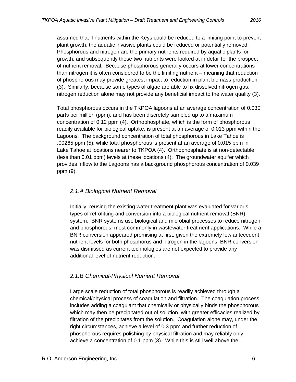assumed that if nutrients within the Keys could be reduced to a limiting point to prevent plant growth, the aquatic invasive plants could be reduced or potentially removed. Phosphorous and nitrogen are the primary nutrients required by aquatic plants for growth, and subsequently these two nutrients were looked at in detail for the prospect of nutrient removal. Because phosphorous generally occurs at lower concentrations than nitrogen it is often considered to be the limiting nutrient – meaning that reduction of phosphorous may provide greatest impact to reduction in plant biomass production (3). Similarly, because some types of algae are able to fix dissolved nitrogen gas, nitrogen reduction alone may not provide any beneficial impact to the water quality (3).

Total phosphorous occurs in the TKPOA lagoons at an average concentration of 0.030 parts per million (ppm), and has been discretely sampled up to a maximum concentration of 0.12 ppm (4). Orthophosphate, which is the form of phosphorous readily available for biological uptake, is present at an average of 0.013 ppm within the Lagoons. The background concentration of total phosphorous in Lake Tahoe is .00265 ppm (5), while total phosphorous is present at an average of 0.015 ppm in Lake Tahoe at locations nearer to TKPOA (4). Orthophosphate is at non-detectable (less than 0.01 ppm) levels at these locations (4). The groundwater aquifer which provides inflow to the Lagoons has a background phosphorous concentration of 0.039 ppm (9).

#### <span id="page-8-0"></span>*2.1.A Biological Nutrient Removal*

Initially, reusing the existing water treatment plant was evaluated for various types of retrofitting and conversion into a biological nutrient removal (BNR) system. BNR systems use biological and microbial processes to reduce nitrogen and phosphorous, most commonly in wastewater treatment applications. While a BNR conversion appeared promising at first, given the extremely low antecedent nutrient levels for both phosphorus and nitrogen in the lagoons, BNR conversion was dismissed as current technologies are not expected to provide any additional level of nutrient reduction.

#### <span id="page-8-1"></span>*2.1.B Chemical-Physical Nutrient Removal*

Large scale reduction of total phosphorous is readily achieved through a chemical/physical process of coagulation and filtration. The coagulation process includes adding a coagulant that chemically or physically binds the phosphorous which may then be precipitated out of solution, with greater efficacies realized by filtration of the precipitates from the solution. Coagulation alone may, under the right circumstances, achieve a level of 0.3 ppm and further reduction of phosphorous requires polishing by physical filtration and may reliably only achieve a concentration of 0.1 ppm (3). While this is still well above the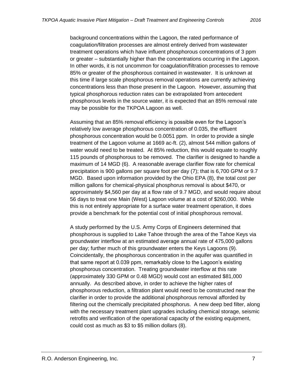background concentrations within the Lagoon, the rated performance of coagulation/filtration processes are almost entirely derived from wastewater treatment operations which have influent phosphorous concentrations of 3 ppm or greater – substantially higher than the concentrations occurring in the Lagoon. In other words, it is not uncommon for coagulation/filtration processes to remove 85% or greater of the phosphorous contained in wastewater. It is unknown at this time if large scale phosphorous removal operations are currently achieving concentrations less than those present in the Lagoon. However, assuming that typical phosphorous reduction rates can be extrapolated from antecedent phosphorous levels in the source water, it is expected that an 85% removal rate may be possible for the TKPOA Lagoon as well.

Assuming that an 85% removal efficiency is possible even for the Lagoon's relatively low average phosphorous concentration of 0.035, the effluent phosphorous concentration would be 0.0051 ppm. In order to provide a single treatment of the Lagoon volume at 1669 ac-ft. (2), almost 544 million gallons of water would need to be treated. At 85% reduction, this would equate to roughly 115 pounds of phosphorous to be removed. The clarifier is designed to handle a maximum of 14 MGD (6). A reasonable average clarifier flow rate for chemical precipitation is 900 gallons per square foot per day (7); that is 6,700 GPM or 9.7 MGD. Based upon information provided by the Ohio EPA (8), the total cost per million gallons for chemical-physical phosphorus removal is about \$470, or approximately \$4,560 per day at a flow rate of 9.7 MGD, and would require about 56 days to treat one Main (West) Lagoon volume at a cost of \$260,000. While this is not entirely appropriate for a surface water treatment operation, it does provide a benchmark for the potential cost of initial phosphorous removal.

A study performed by the U.S. Army Corps of Engineers determined that phosphorous is supplied to Lake Tahoe through the area of the Tahoe Keys via groundwater interflow at an estimated average annual rate of 475,000 gallons per day; further much of this groundwater enters the Keys Lagoons (9). Coincidentally, the phosphorous concentration in the aquifer was quantified in that same report at 0.039 ppm, remarkably close to the Lagoon's existing phosphorous concentration. Treating groundwater interflow at this rate (approximately 330 GPM or 0.48 MGD) would cost an estimated \$81,000 annually. As described above, in order to achieve the higher rates of phosphorous reduction, a filtration plant would need to be constructed near the clarifier in order to provide the additional phosphorous removal afforded by filtering out the chemically precipitated phosphorus. A new deep bed filter, along with the necessary treatment plant upgrades including chemical storage, seismic retrofits and verification of the operational capacity of the existing equipment, could cost as much as \$3 to \$5 million dollars (8).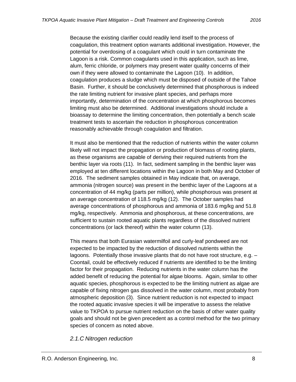Because the existing clarifier could readily lend itself to the process of coagulation, this treatment option warrants additional investigation. However, the potential for overdosing of a coagulant which could in turn contaminate the Lagoon is a risk. Common coagulants used in this application, such as lime, alum, ferric chloride, or polymers may present water quality concerns of their own if they were allowed to contaminate the Lagoon (10). In addition, coagulation produces a sludge which must be disposed of outside of the Tahoe Basin. Further, it should be conclusively determined that phosphorous is indeed the rate limiting nutrient for invasive plant species, and perhaps more importantly, determination of the concentration at which phosphorous becomes limiting must also be determined. Additional investigations should include a bioassay to determine the limiting concentration, then potentially a bench scale treatment tests to ascertain the reduction in phosphorous concentration reasonably achievable through coagulation and filtration.

It must also be mentioned that the reduction of nutrients within the water column likely will not impact the propagation or production of biomass of rooting plants, as these organisms are capable of deriving their required nutrients from the benthic layer via roots (11). In fact, sediment sampling in the benthic layer was employed at ten different locations within the Lagoon in both May and October of 2016. The sediment samples obtained in May indicate that, on average, ammonia (nitrogen source) was present in the benthic layer of the Lagoons at a concentration of 44 mg/kg (parts per million), while phosphorous was present at an average concentration of 118.5 mg/kg (12). The October samples had average concentrations of phosphorous and ammonia of 183.6 mg/kg and 51.8 mg/kg, respectively. Ammonia and phosphorous, at these concentrations, are sufficient to sustain rooted aquatic plants regardless of the dissolved nutrient concentrations (or lack thereof) within the water column (13).

This means that both Eurasian watermilfoil and curly-leaf pondweed are not expected to be impacted by the reduction of dissolved nutrients within the lagoons. Potentially those invasive plants that do not have root structure, e.g. – Coontail, could be effectively reduced if nutrients are identified to be the limiting factor for their propagation. Reducing nutrients in the water column has the added benefit of reducing the potential for algae blooms. Again, similar to other aquatic species, phosphorous is expected to be the limiting nutrient as algae are capable of fixing nitrogen gas dissolved in the water column, most probably from atmospheric deposition (3). Since nutrient reduction is not expected to impact the rooted aquatic invasive species it will be imperative to assess the relative value to TKPOA to pursue nutrient reduction on the basis of other water quality goals and should not be given precedent as a control method for the two primary species of concern as noted above.

<span id="page-10-0"></span>*2.1.C Nitrogen reduction*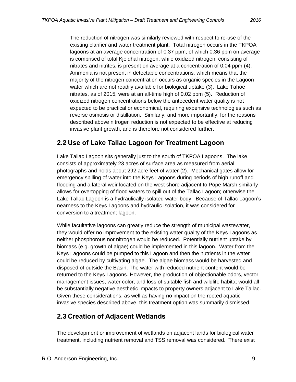The reduction of nitrogen was similarly reviewed with respect to re-use of the existing clarifier and water treatment plant. Total nitrogen occurs in the TKPOA lagoons at an average concentration of 0.37 ppm, of which 0.36 ppm on average is comprised of total Kjeldhal nitrogen, while oxidized nitrogen, consisting of nitrates and nitrites, is present on average at a concentration of 0.04 ppm (4). Ammonia is not present in detectable concentrations, which means that the majority of the nitrogen concentration occurs as organic species in the Lagoon water which are not readily available for biological uptake (3). Lake Tahoe nitrates, as of 2015, were at an all-time high of 0.02 ppm (5). Reduction of oxidized nitrogen concentrations below the antecedent water quality is not expected to be practical or economical, requiring expensive technologies such as reverse osmosis or distillation. Similarly, and more importantly, for the reasons described above nitrogen reduction is not expected to be effective at reducing invasive plant growth, and is therefore not considered further.

### <span id="page-11-0"></span>**2.2 Use of Lake Tallac Lagoon for Treatment Lagoon**

Lake Tallac Lagoon sits generally just to the south of TKPOA Lagoons. The lake consists of approximately 23 acres of surface area as measured from aerial photographs and holds about 292 acre feet of water (2). Mechanical gates allow for emergency spilling of water into the Keys Lagoons during periods of high runoff and flooding and a lateral weir located on the west shore adjacent to Pope Marsh similarly allows for overtopping of flood waters to spill out of the Tallac Lagoon; otherwise the Lake Tallac Lagoon is a hydraulically isolated water body. Because of Tallac Lagoon's nearness to the Keys Lagoons and hydraulic isolation, it was considered for conversion to a treatment lagoon.

While facultative lagoons can greatly reduce the strength of municipal wastewater, they would offer no improvement to the existing water quality of the Keys Lagoons as neither phosphorous nor nitrogen would be reduced. Potentially nutrient uptake by biomass (e.g. growth of algae) could be implemented in this lagoon. Water from the Keys Lagoons could be pumped to this Lagoon and then the nutrients in the water could be reduced by cultivating algae. The algae biomass would be harvested and disposed of outside the Basin. The water with reduced nutrient content would be returned to the Keys Lagoons. However, the production of objectionable odors, vector management issues, water color, and loss of suitable fish and wildlife habitat would all be substantially negative aesthetic impacts to property owners adjacent to Lake Tallac. Given these considerations, as well as having no impact on the rooted aquatic invasive species described above, this treatment option was summarily dismissed.

### <span id="page-11-1"></span>**2.3 Creation of Adjacent Wetlands**

The development or improvement of wetlands on adjacent lands for biological water treatment, including nutrient removal and TSS removal was considered. There exist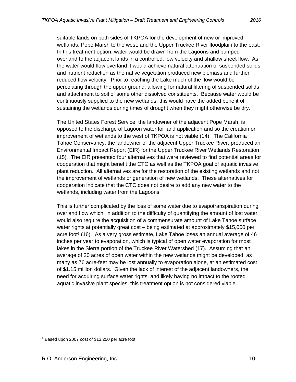suitable lands on both sides of TKPOA for the development of new or improved wetlands: Pope Marsh to the west, and the Upper Truckee River floodplain to the east. In this treatment option, water would be drawn from the Lagoons and pumped overland to the adjacent lands in a controlled, low velocity and shallow sheet flow. As the water would flow overland it would achieve natural attenuation of suspended solids and nutrient reduction as the native vegetation produced new biomass and further reduced flow velocity. Prior to reaching the Lake much of the flow would be percolating through the upper ground, allowing for natural filtering of suspended solids and attachment to soil of some other dissolved constituents. Because water would be continuously supplied to the new wetlands, this would have the added benefit of sustaining the wetlands during times of drought when they might otherwise be dry.

The United States Forest Service, the landowner of the adjacent Pope Marsh, is opposed to the discharge of Lagoon water for land application and so the creation or improvement of wetlands to the west of TKPOA is not viable (14). The California Tahoe Conservancy, the landowner of the adjacent Upper Truckee River, produced an Environmental Impact Report (EIR) for the Upper Truckee River Wetlands Restoration (15). The EIR presented four alternatives that were reviewed to find potential areas for cooperation that might benefit the CTC as well as the TKPOA goal of aquatic invasive plant reduction. All alternatives are for the restoration of the existing wetlands and not the improvement of wetlands or generation of new wetlands. These alternatives for cooperation indicate that the CTC does not desire to add any new water to the wetlands, including water from the Lagoons.

This is further complicated by the loss of some water due to evapotranspiration during overland flow which, in addition to the difficulty of quantifying the amount of lost water would also require the acquisition of a commensurate amount of Lake Tahoe surface water rights at potentially great cost – being estimated at approximately \$15,000 per acre foot<sup>1</sup> (16). As a very gross estimate, Lake Tahoe loses an annual average of 46 inches per year to evaporation, which is typical of open water evaporation for most lakes in the Sierra portion of the Truckee River Watershed (17). Assuming that an average of 20 acres of open water within the new wetlands might be developed, as many as 76 acre-feet may be lost annually to evaporation alone, at an estimated cost of \$1.15 million dollars. Given the lack of interest of the adjacent landowners, the need for acquiring surface water rights, and likely having no impact to the rooted aquatic invasive plant species, this treatment option is not considered viable.

<sup>1</sup> Based upon 2007 cost of \$13,250 per acre foot.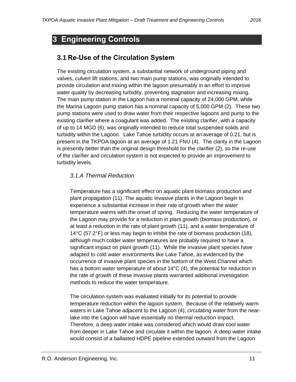### <span id="page-13-0"></span>**3 Engineering Controls**

### <span id="page-13-1"></span>**3.1 Re-Use of the Circulation System**

The existing circulation system, a substantial network of underground piping and valves, culvert lift stations, and two main pump stations, was originally intended to provide circulation and mixing within the lagoon presumably in an effort to improve water quality by decreasing turbidity, preventing stagnation and increasing mixing. The main pump station in the Lagoon has a nominal capacity of 24,000 GPM, while the Marina Lagoon pump station has a nominal capacity of 5,000 GPM (2). These two pump stations were used to draw water from their respective lagoons and pump to the existing clarifier where a coagulant was added. The existing clarifier, with a capacity of up to 14 MGD (6), was originally intended to reduce total suspended solids and turbidity within the Lagoon. Lake Tahoe turbidity occurs at an average of 0.21, but is present in the TKPOA lagoon at an average of 1.21 FNU (4). The clarity in the Lagoon is presently better than the original design threshold for the clarifier (2), so the re-use of the clarifier and circulation system is not expected to provide an improvement to turbidity levels.

#### <span id="page-13-2"></span>*3.1.A Thermal Reduction*

Temperature has a significant effect on aquatic plant biomass production and plant propagation (11). The aquatic invasive plants in the Lagoon begin to experience a substantial increase in their rate of growth when the water temperature warms with the onset of spring. Reducing the water temperature of the Lagoon may provide for a reduction in plant growth (biomass production), or at least a reduction in the rate of plant growth (11), and a water temperature of 14°C (57.2°F) or less may begin to inhibit the rate of biomass production (18), although much colder water temperatures are probably required to have a significant impact on plant growth (11). While the invasive plant species have adapted to cold water environments like Lake Tahoe, as evidenced by the occurrence of invasive plant species in the bottom of the West Channel which has a bottom water temperature of about 14°C (4), the potential for reduction in the rate of growth of these invasive plants warranted additional investigation methods to reduce the water temperature.

The circulation system was evaluated initially for its potential to provide temperature reduction within the lagoon system. Because of the relatively warm waters in Lake Tahoe adjacent to the Lagoon (4), circulating water from the nearlake into the Lagoon will have essentially no thermal reduction impact. Therefore, a deep water intake was considered which would draw cool water from deeper in Lake Tahoe and circulate it within the lagoon. A deep water intake would consist of a ballasted HDPE pipeline extended outward from the Lagoon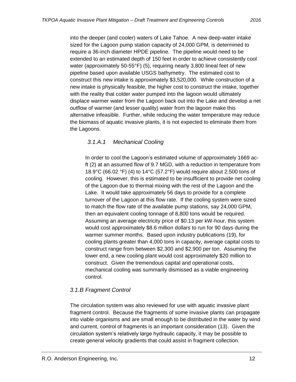into the deeper (and cooler) waters of Lake Tahoe. A new deep-water intake sized for the Lagoon pump station capacity of 24,000 GPM, is determined to require a 36-inch diameter HPDE pipeline. The pipeline would need to be extended to an estimated depth of 150 feet in order to achieve consistently cool water (approximately 50-55°F) (5), requiring nearly 3,800 lineal feet of new pipeline based upon available USGS bathymetry. The estimated cost to construct this new intake is approximately \$3,520,000. While construction of a new intake is physically feasible, the higher cost to construct the intake, together with the reality that colder water pumped into the lagoon would ultimately displace warmer water from the Lagoon back out into the Lake and develop a net outflow of warmer (and lesser quality) water from the lagoon make this alternative infeasible. Further, while reducing the water temperature may reduce the biomass of aquatic invasive plants, it is not expected to eliminate them from the Lagoons.

### <span id="page-14-0"></span>*3.1.A.1 Mechanical Cooling*

In order to cool the Lagoon's estimated volume of approximately 1669 acft (2) at an assumed flow of 9.7 MGD, with a reduction in temperature from 18.9°C (66.02 °F) (4) to 14°C (57.2°F) would require about 2,500 tons of cooling. However, this is estimated to be insufficient to provide net cooling of the Lagoon due to thermal mixing with the rest of the Lagoon and the Lake. It would take approximately 56 days to provide for a complete turnover of the Lagoon at this flow rate. If the cooling system were sized to match the flow rate of the available pump stations, say 24,000 GPM, then an equivalent cooling tonnage of 8,800 tons would be required. Assuming an average electricity price of \$0.13 per kW-hour, this system would cost approximately \$8.6 million dollars to run for 90 days during the warmer summer months. Based upon industry publications (19), for cooling plants greater than 4,000 tons in capacity, average capital costs to construct range from between \$2,300 and \$2,900 per ton. Assuming the lower end, a new cooling plant would cost approximately \$20 million to construct. Given the tremendous capital and operational costs, mechanical cooling was summarily dismissed as a viable engineering control.

### <span id="page-14-1"></span>*3.1.B Fragment Control*

The circulation system was also reviewed for use with aquatic invasive plant fragment control. Because the fragments of some invasive plants can propagate into viable organisms and are small enough to be distributed in the water by wind and current, control of fragments is an important consideration (13). Given the circulation system's relatively large hydraulic capacity, it may be possible to create general velocity gradients that could assist in fragment collection.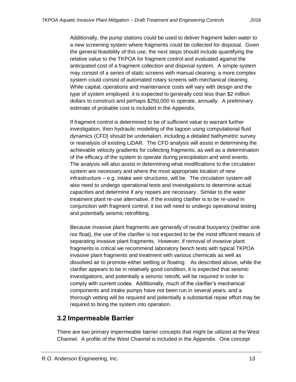Additionally, the pump stations could be used to deliver fragment laden water to a new screening system where fragments could be collected for disposal. Given the general feasibility of this use, the next steps should include quantifying the relative value to the TKPOA for fragment control and evaluated against the anticipated cost of a fragment collection and disposal system. A simple system may consist of a series of static screens with manual cleaning; a more complex system could consist of automated rotary screens with mechanical cleaning. While capital, operations and maintenance costs will vary with design and the type of system employed, it is expected to generally cost less than \$2 million dollars to construct and perhaps \$250,000 to operate, annually. A preliminary estimate of probable cost is included in the Appendix.

If fragment control is determined to be of sufficient value to warrant further investigation, then hydraulic modeling of the lagoon using computational fluid dynamics (CFD) should be undertaken, including a detailed bathymetric survey or reanalysis of existing LiDAR. The CFD analysis will assist in determining the achievable velocity gradients for collecting fragments, as well as a determination of the efficacy of the system to operate during precipitation and wind events. The analysis will also assist in determining what modifications to the circulation system are necessary and where the most appropriate location of new infrastructure – e.g. intake weir structures, will be. The circulation system will also need to undergo operational tests and investigations to determine actual capacities and determine if any repairs are necessary. Similar to the water treatment plant re-use alternative, if the existing clarifier is to be re-used in conjunction with fragment control, it too will need to undergo operational testing and potentially seismic retrofitting.

Because invasive plant fragments are generally of neutral buoyancy (neither sink nor float), the use of the clarifier is not expected to be the most efficient means of separating invasive plant fragments. However, if removal of invasive plant fragments is critical we recommend laboratory bench tests with typical TKPOA invasive plant fragments and treatment with various chemicals as well as dissolved air to promote either settling or floating. As described above, while the clarifier appears to be in relatively good condition, it is expected that seismic investigations, and potentially a seismic retrofit, will be required in order to comply with current codes. Additionally, much of the clarifier's mechanical components and intake pumps have not been run in several years, and a thorough vetting will be required and potentially a substantial repair effort may be required to bring the system into operation.

### <span id="page-15-0"></span>**3.2 Impermeable Barrier**

There are two primary impermeable barrier concepts that might be utilized at the West Channel. A profile of the West Channel is included in the Appendix. One concept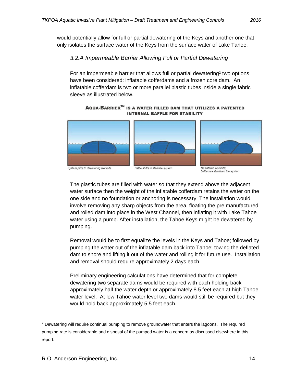<span id="page-16-0"></span>would potentially allow for full or partial dewatering of the Keys and another one that only isolates the surface water of the Keys from the surface water of Lake Tahoe.

#### *3.2.A Impermeable Barrier Allowing Full or Partial Dewatering*

For an impermeable barrier that allows full or partial dewatering<sup>2</sup> two options have been considered: inflatable cofferdams and a frozen core dam. An inflatable cofferdam is two or more parallel plastic tubes inside a single fabric sleeve as illustrated below.

AQUA-BARRIER™ IS A WATER FILLED DAM THAT UTILIZES A PATENTED **INTERNAL BAFFLE FOR STABILITY** 



System prior to dewatering worksite



Baffle shifts to stabilize system



baffle has stabilized the system

The plastic tubes are filled with water so that they extend above the adjacent water surface then the weight of the inflatable cofferdam retains the water on the one side and no foundation or anchoring is necessary. The installation would involve removing any sharp objects from the area, floating the pre manufactured and rolled dam into place in the West Channel, then inflating it with Lake Tahoe water using a pump. After installation, the Tahoe Keys might be dewatered by pumping.

Removal would be to first equalize the levels in the Keys and Tahoe; followed by pumping the water out of the inflatable dam back into Tahoe; towing the deflated dam to shore and lifting it out of the water and rolling it for future use. Installation and removal should require approximately 2 days each.

Preliminary engineering calculations have determined that for complete dewatering two separate dams would be required with each holding back approximately half the water depth or approximately 8.5 feet each at high Tahoe water level. At low Tahoe water level two dams would still be required but they would hold back approximately 5.5 feet each.

 $\overline{a}$ 

<sup>&</sup>lt;sup>2</sup> Dewatering will require continual pumping to remove groundwater that enters the lagoons. The required pumping rate is considerable and disposal of the pumped water is a concern as discussed elsewhere in this report.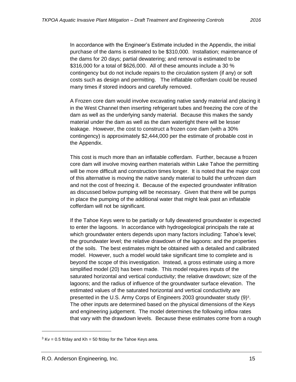In accordance with the Engineer's Estimate included in the Appendix, the initial purchase of the dams is estimated to be \$310,000. Installation; maintenance of the dams for 20 days; partial dewatering; and removal is estimated to be \$316,000 for a total of \$626,000. All of these amounts include a 30 % contingency but do not include repairs to the circulation system (if any) or soft costs such as design and permitting. The inflatable cofferdam could be reused many times if stored indoors and carefully removed.

A Frozen core dam would involve excavating native sandy material and placing it in the West Channel then inserting refrigerant tubes and freezing the core of the dam as well as the underlying sandy material. Because this makes the sandy material under the dam as well as the dam watertight there will be lesser leakage. However, the cost to construct a frozen core dam (with a 30% contingency) is approximately \$2,444,000 per the estimate of probable cost in the Appendix.

This cost is much more than an inflatable cofferdam. Further, because a frozen core dam will involve moving earthen materials within Lake Tahoe the permitting will be more difficult and construction times longer. It is noted that the major cost of this alternative is moving the native sandy material to build the unfrozen dam and not the cost of freezing it. Because of the expected groundwater infiltration as discussed below pumping will be necessary. Given that there will be pumps in place the pumping of the additional water that might leak past an inflatable cofferdam will not be significant.

If the Tahoe Keys were to be partially or fully dewatered groundwater is expected to enter the lagoons. In accordance with hydrogeological principals the rate at which groundwater enters depends upon many factors including: Tahoe's level; the groundwater level; the relative drawdown of the lagoons: and the properties of the soils. The best estimates might be obtained with a detailed and calibrated model. However, such a model would take significant time to complete and is beyond the scope of this investigation. Instead, a gross estimate using a more simplified model (20) has been made. This model requires inputs of the saturated horizontal and vertical conductivity; the relative drawdown; size of the lagoons; and the radius of influence of the groundwater surface elevation. The estimated values of the saturated horizontal and vertical conductivity are presented in the U.S. Army Corps of Engineers 2003 groundwater study (9)<sup>3</sup>. The other inputs are determined based on the physical dimensions of the Keys and engineering judgement. The model determines the following inflow rates that vary with the drawdown levels. Because these estimates come from a rough

 $3$  Kv = 0.5 ft/day and Kh = 50 ft/day for the Tahoe Keys area.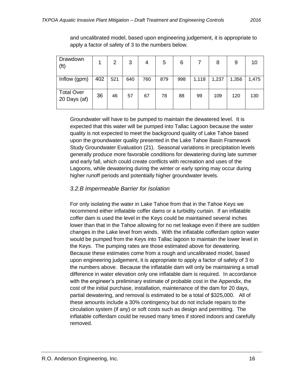| Drawdown<br>(f <sup>t</sup> )     |     | 2   | 3   | 4   | 5   | 6   |       | 8     | 9     | 10    |
|-----------------------------------|-----|-----|-----|-----|-----|-----|-------|-------|-------|-------|
| Inflow (gpm)                      | 402 | 521 | 640 | 760 | 879 | 998 | 1,118 | 1,237 | 1,356 | 1,475 |
| <b>Total Over</b><br>20 Days (af) | 36  | 46  | 57  | 67  | 78  | 88  | 99    | 109   | 120   | 130   |

and uncalibrated model, based upon engineering judgement, it is appropriate to apply a factor of safety of 3 to the numbers below.

Groundwater will have to be pumped to maintain the dewatered level. It is expected that this water will be pumped into Tallac Lagoon because the water quality is not expected to meet the background quality of Lake Tahoe based upon the groundwater quality presented in the Lake Tahoe Basin Framework Study Groundwater Evaluation (21). Seasonal variations in precipitation levels generally produce more favorable conditions for dewatering during late summer and early fall, which could create conflicts with recreation and uses of the Lagoons, while dewatering during the winter or early spring may occur during higher runoff periods and potentially higher groundwater levels.

#### <span id="page-18-0"></span>*3.2.B Impermeable Barrier for Isolation*

For only isolating the water in Lake Tahoe from that in the Tahoe Keys we recommend either inflatable coffer dams or a turbidity curtain. If an inflatable coffer dam is used the level in the Keys could be maintained several inches lower than that in the Tahoe allowing for no net leakage even if there are sudden changes in the Lake level from winds. With the inflatable cofferdam option water would be pumped from the Keys into Tallac lagoon to maintain the lower level in the Keys. The pumping rates are those estimated above for dewatering. Because these estimates come from a rough and uncalibrated model, based upon engineering judgement, it is appropriate to apply a factor of safety of 3 to the numbers above. Because the inflatable dam will only be maintaining a small difference in water elevation only one inflatable dam is required. In accordance with the engineer's preliminary estimate of probable cost in the Appendix, the cost of the initial purchase, installation, maintenance of the dam for 20 days, partial dewatering, and removal is estimated to be a total of \$325,000. All of these amounts include a 30% contingency but do not include repairs to the circulation system (if any) or soft costs such as design and permitting. The inflatable cofferdam could be reused many times if stored indoors and carefully removed.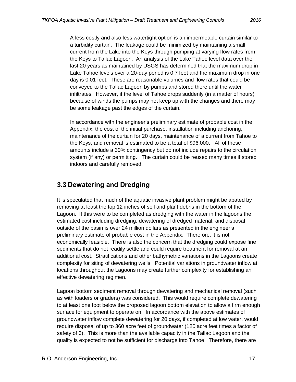A less costly and also less watertight option is an impermeable curtain similar to a turbidity curtain. The leakage could be minimized by maintaining a small current from the Lake into the Keys through pumping at varying flow rates from the Keys to Tallac Lagoon. An analysis of the Lake Tahoe level data over the last 20 years as maintained by USGS has determined that the maximum drop in Lake Tahoe levels over a 20-day period is 0.7 feet and the maximum drop in one day is 0.01 feet. These are reasonable volumes and flow rates that could be conveyed to the Tallac Lagoon by pumps and stored there until the water infiltrates. However, if the level of Tahoe drops suddenly (in a matter of hours) because of winds the pumps may not keep up with the changes and there may be some leakage past the edges of the curtain.

In accordance with the engineer's preliminary estimate of probable cost in the Appendix, the cost of the initial purchase, installation including anchoring, maintenance of the curtain for 20 days, maintenance of a current from Tahoe to the Keys, and removal is estimated to be a total of \$96,000. All of these amounts include a 30% contingency but do not include repairs to the circulation system (if any) or permitting. The curtain could be reused many times if stored indoors and carefully removed.

### <span id="page-19-0"></span>**3.3 Dewatering and Dredging**

It is speculated that much of the aquatic invasive plant problem might be abated by removing at least the top 12 inches of soil and plant debris in the bottom of the Lagoon. If this were to be completed as dredging with the water in the lagoons the estimated cost including dredging, dewatering of dredged material, and disposal outside of the basin is over 24 million dollars as presented in the engineer's preliminary estimate of probable cost in the Appendix. Therefore, it is not economically feasible. There is also the concern that the dredging could expose fine sediments that do not readily settle and could require treatment for removal at an additional cost. Stratifications and other bathymetric variations in the Lagoons create complexity for siting of dewatering wells. Potential variations in groundwater inflow at locations throughout the Lagoons may create further complexity for establishing an effective dewatering regimen.

Lagoon bottom sediment removal through dewatering and mechanical removal (such as with loaders or graders) was considered. This would require complete dewatering to at least one foot below the proposed lagoon bottom elevation to allow a firm enough surface for equipment to operate on. In accordance with the above estimates of groundwater inflow complete dewatering for 20 days, if completed at low water, would require disposal of up to 360 acre feet of groundwater (120 acre feet times a factor of safety of 3). This is more than the available capacity in the Tallac Lagoon and the quality is expected to not be sufficient for discharge into Tahoe. Therefore, there are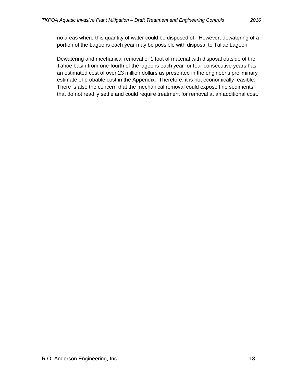no areas where this quantity of water could be disposed of. However, dewatering of a portion of the Lagoons each year may be possible with disposal to Tallac Lagoon.

Dewatering and mechanical removal of 1 foot of material with disposal outside of the Tahoe basin from one-fourth of the lagoons each year for four consecutive years has an estimated cost of over 23 million dollars as presented in the engineer's preliminary estimate of probable cost in the Appendix. Therefore, it is not economically feasible. There is also the concern that the mechanical removal could expose fine sediments that do not readily settle and could require treatment for removal at an additional cost.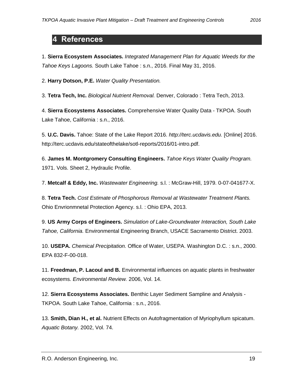### <span id="page-21-0"></span>**4 References**

1. **Sierra Ecosystem Associates.** *Integrated Management Plan for Aquatic Weeds for the Tahoe Keys Lagoons.* South Lake Tahoe : s.n., 2016. Final May 31, 2016.

2. **Harry Dotson, P.E.** *Water Quality Presentation.* 

3. **Tetra Tech, Inc.** *Biological Nutrient Removal.* Denver, Colorado : Tetra Tech, 2013.

4. **Sierra Ecosystems Associates.** Comprehensive Water Quality Data - TKPOA. South Lake Tahoe, California : s.n., 2016.

5. **U.C. Davis.** Tahoe: State of the Lake Report 2016. *http://terc.ucdavis.edu.* [Online] 2016. http://terc.ucdavis.edu/stateofthelake/sotl-reports/2016/01-intro.pdf.

6. **James M. Montgromery Consulting Engineers.** *Tahoe Keys Water Quality Program.*  1971. Vols. Sheet 2, Hydraulic Profile.

7. **Metcalf & Eddy, Inc.** *Wastewater Engineering.* s.l. : McGraw-Hill, 1979. 0-07-041677-X.

8. **Tetra Tech.** *Cost Estimate of Phosphorous Removal at Wastewater Treatment Plants.*  Ohio Envrionmnetal Protection Agency. s.l. : Ohio EPA, 2013.

9. **US Army Corps of Engineers.** *Simulation of Lake-Groundwater Interaction, South Lake Tahoe, California.* Environmental Engineering Branch, USACE Sacramento District. 2003.

10. **USEPA.** *Chemical Precipitation.* Office of Water, USEPA. Washington D.C. : s.n., 2000. EPA 832-F-00-018.

11. **Freedman, P. Lacoul and B.** Environmental influences on aquatic plants in freshwater ecosystems. *Environmental Review.* 2006, Vol. 14.

12. **Sierra Ecosystems Associates.** Benthic Layer Sediment Sampline and Analysis - TKPOA. South Lake Tahoe, California : s.n., 2016.

13. **Smith, Dian H., et al.** Nutrient Effects on Autofragmentation of Myriophyllum spicatum. *Aquatic Botany.* 2002, Vol. 74.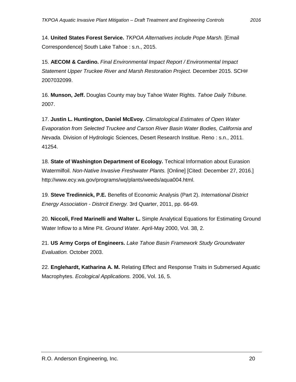14. **United States Forest Service.** *TKPOA Alternatives include Pope Marsh.* [Email Correspondence] South Lake Tahoe : s.n., 2015.

15. **AECOM & Cardino.** *Final Environmental Impact Report / Environmental Impact Statement Upper Truckee River and Marsh Restoration Project.* December 2015. SCH# 2007032099.

16. **Munson, Jeff.** Douglas County may buy Tahoe Water Rights. *Tahoe Daily Tribune.*  2007.

17. **Justin L. Huntington, Daniel McEvoy.** *Climatological Estimates of Open Water Evaporation from Selected Truckee and Carson River Basin Water Bodies, California and Nevada.* Division of Hydrologic Sciences, Desert Research Institue. Reno : s.n., 2011. 41254.

18. **State of Washington Department of Ecology.** Techical Information about Eurasion Watermilfoil. *Non-Native Invasive Freshwater Plants.* [Online] [Cited: December 27, 2016.] http://www.ecy.wa.gov/programs/wq/plants/weeds/aqua004.html.

19. **Steve Tredinnick, P.E.** Benefits of Economic Analysis (Part 2). *International District Energy Association - Distrcit Energy.* 3rd Quarter, 2011, pp. 66-69.

20. **Niccoli, Fred Marinelli and Walter L.** Simple Analytical Equations for Estimating Ground Water Inflow to a Mine Pit. *Ground Water.* April-May 2000, Vol. 38, 2.

21. **US Army Corps of Engineers.** *Lake Tahoe Basin Framework Study Groundwater Evaluation.* October 2003.

22. **Englehardt, Katharina A. M.** Relating Effect and Response Traits in Submersed Aquatic Macrophytes. *Ecological Applications.* 2006, Vol. 16, 5.